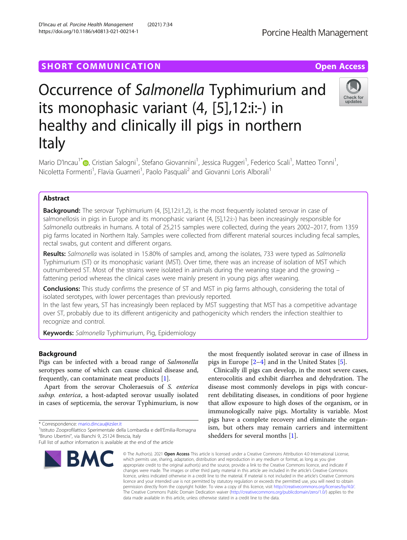## **SHORT COMMUNICATION COMMUNICATION**

# Occurrence of Salmonella Typhimurium and its monophasic variant (4, [5],12:i:-) in healthy and clinically ill pigs in northern Italy

Mario D'Incau<sup>1\*</sup>�[,](http://orcid.org/0000-0001-9918-2497) Cristian Salogni<sup>1</sup>, Stefano Giovannini<sup>1</sup>, Jessica Ruggeri<sup>1</sup>, Federico Scali<sup>1</sup>, Matteo Tonni<sup>1</sup> , Nicoletta Formenti<sup>1</sup>, Flavia Guarneri<sup>1</sup>, Paolo Pasquali<sup>2</sup> and Giovanni Loris Alborali<sup>1</sup>

## Abstract

**Background:** The serovar Typhimurium (4, [5],12:i:1,2), is the most frequently isolated serovar in case of salmonellosis in pigs in Europe and its monophasic variant (4, [5],12:i:-) has been increasingly responsible for Salmonella outbreaks in humans. A total of 25,215 samples were collected, during the years 2002–2017, from 1359 pig farms located in Northern Italy. Samples were collected from different material sources including fecal samples, rectal swabs, gut content and different organs.

Results: Salmonella was isolated in 15.80% of samples and, among the isolates, 733 were typed as Salmonella Typhimurium (ST) or its monophasic variant (MST). Over time, there was an increase of isolation of MST which outnumbered ST. Most of the strains were isolated in animals during the weaning stage and the growing – fattening period whereas the clinical cases were mainly present in young pigs after weaning.

**Conclusions:** This study confirms the presence of ST and MST in pig farms although, considering the total of isolated serotypes, with lower percentages than previously reported.

In the last few years, ST has increasingly been replaced by MST suggesting that MST has a competitive advantage over ST, probably due to its different antigenicity and pathogenicity which renders the infection stealthier to recognize and control.

Keywords: Salmonella Typhimurium, Pig, Epidemiology

## Background

serotypes some of which can cause clinical disease and, frequently, can contaminate meat products [[1\]](#page-6-0).

subsp. enterica, a host-adapted serovar usually isolated in cases of septicemia, the serovar Typhimurium, is now

\* Correspondence: [mario.dincau@izsler.it](mailto:mario.dincau@izsler.it) <sup>1</sup>

BMC

<sup>1</sup>Istituto Zooprofilattico Sperimentale della Lombardia e dell'Emilia-Romagna "Bruno Ubertini", via Bianchi 9, 25124 Brescia, Italy

the most frequently isolated serovar in case of illness in pigs in Europe [\[2](#page-6-0)–[4\]](#page-6-0) and in the United States [[5\]](#page-6-0).

Clinically ill pigs can develop, in the most severe cases, enterocolitis and exhibit diarrhea and dehydration. The disease most commonly develops in pigs with concurrent debilitating diseases, in conditions of poor hygiene that allow exposure to high doses of the organism, or in immunologically naive pigs. Mortality is variable. Most pigs have a complete recovery and eliminate the organism, but others may remain carriers and intermittent

© The Author(s), 2021 **Open Access** This article is licensed under a Creative Commons Attribution 4.0 International License, which permits use, sharing, adaptation, distribution and reproduction in any medium or format, as long as you give appropriate credit to the original author(s) and the source, provide a link to the Creative Commons licence, and indicate if changes were made. The images or other third party material in this article are included in the article's Creative Commons licence, unless indicated otherwise in a credit line to the material. If material is not included in the article's Creative Commons licence and your intended use is not permitted by statutory regulation or exceeds the permitted use, you will need to obtain permission directly from the copyright holder. To view a copy of this licence, visit [http://creativecommons.org/licenses/by/4.0/.](http://creativecommons.org/licenses/by/4.0/) The Creative Commons Public Domain Dedication waiver [\(http://creativecommons.org/publicdomain/zero/1.0/](http://creativecommons.org/publicdomain/zero/1.0/)) applies to the data made available in this article, unless otherwise stated in a credit line to the data.

Pigs can be infected with a broad range of Salmonella

Apart from the serovar Choleraesuis of S. enterica

<sup>D</sup>'Incau et al. Porcine Health Management (2021) 7:34 https://doi.org/10.1186/s40813-021-00214-1





Full list of author information is available at the end of the article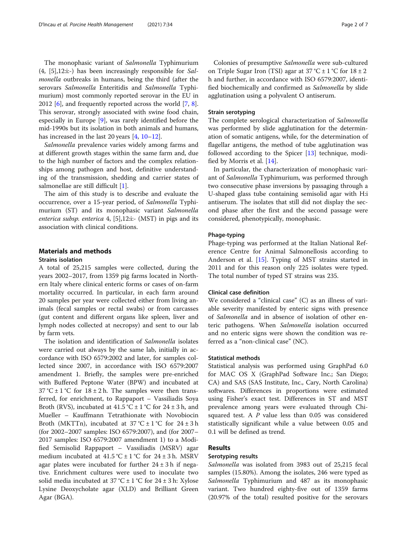The monophasic variant of Salmonella Typhimurium  $(4, [5], 12$ :i:-) has been increasingly responsible for Salmonella outbreaks in humans, being the third (after the serovars Salmonella Enteritidis and Salmonella Typhimurium) most commonly reported serovar in the EU in 2012 [[6](#page-6-0)], and frequently reported across the world [\[7](#page-6-0), [8](#page-6-0)]. This serovar, strongly associated with swine food chain, especially in Europe [[9\]](#page-6-0), was rarely identified before the mid-1990s but its isolation in both animals and humans, has increased in the last 20 years [\[4](#page-6-0), [10](#page-6-0)–[12\]](#page-6-0).

Salmonella prevalence varies widely among farms and at different growth stages within the same farm and, due to the high number of factors and the complex relationships among pathogen and host, definitive understanding of the transmission, shedding and carrier states of salmonellae are still difficult [[1\]](#page-6-0).

The aim of this study is to describe and evaluate the occurrence, over a 15-year period, of Salmonella Typhimurium (ST) and its monophasic variant Salmonella enterica subsp. enterica  $4$ , [5],12:i:- (MST) in pigs and its association with clinical conditions.

## Materials and methods

#### Strains isolation

A total of 25,215 samples were collected, during the years 2002–2017, from 1359 pig farms located in Northern Italy where clinical enteric forms or cases of on-farm mortality occurred. In particular, in each farm around 20 samples per year were collected either from living animals (fecal samples or rectal swabs) or from carcasses (gut content and different organs like spleen, liver and lymph nodes collected at necropsy) and sent to our lab by farm vets.

The isolation and identification of Salmonella isolates were carried out always by the same lab, initially in accordance with ISO 6579:2002 and later, for samples collected since 2007, in accordance with ISO 6579:2007 amendment 1. Briefly, the samples were pre-enriched with Buffered Peptone Water (BPW) and incubated at  $37 \text{ °C} \pm 1 \text{ °C}$  for  $18 \pm 2 \text{ h}$ . The samples were then transferred, for enrichment, to Rappaport – Vassiliadis Soya Broth (RVS), incubated at  $41.5 \degree C \pm 1 \degree C$  for  $24 \pm 3$  h, and Mueller – Kauffmann Tetrathionate with Novobiocin Broth (MKTTn), incubated at  $37^{\circ}C \pm 1^{\circ}C$  for  $24 \pm 3 h$ (for 2002–2007 samples: ISO 6579:2007), and (for 2007– 2017 samples: ISO 6579:2007 amendment 1) to a Modified Semisolid Rappaport – Vassiliadis (MSRV) agar medium incubated at  $41.5^{\circ}C \pm 1^{\circ}C$  for  $24 \pm 3$  h. MSRV agar plates were incubated for further  $24 \pm 3$  h if negative. Enrichment cultures were used to inoculate two solid media incubated at  $37^{\circ}C \pm 1^{\circ}C$  for  $24 \pm 3$  h: Xylose Lysine Deoxycholate agar (XLD) and Brilliant Green Agar (BGA).

Colonies of presumptive Salmonella were sub-cultured on Triple Sugar Iron (TSI) agar at  $37^{\circ}$ C  $\pm$  1 °C for  $18 \pm 2$ h and further, in accordance with ISO 6579:2007, identified biochemically and confirmed as Salmonella by slide agglutination using a polyvalent O antiserum.

#### Strain serotyping

The complete serological characterization of Salmonella was performed by slide agglutination for the determination of somatic antigens, while, for the determination of flagellar antigens, the method of tube agglutination was followed according to the Spicer [\[13\]](#page-6-0) technique, modified by Morris et al. [[14\]](#page-6-0).

In particular, the characterization of monophasic variant of Salmonella Typhimurium, was performed through two consecutive phase inversions by passaging through a U-shaped glass tube containing semisolid agar with H:i antiserum. The isolates that still did not display the second phase after the first and the second passage were considered, phenotypically, monophasic.

#### Phage-typing

Phage-typing was performed at the Italian National Reference Centre for Animal Salmonellosis according to Anderson et al. [[15](#page-6-0)]. Typing of MST strains started in 2011 and for this reason only 225 isolates were typed. The total number of typed ST strains was 235.

#### Clinical case definition

We considered a "clinical case" (C) as an illness of variable severity manifested by enteric signs with presence of Salmonella and in absence of isolation of other enteric pathogens. When Salmonella isolation occurred and no enteric signs were shown the condition was referred as a "non-clinical case" (NC).

#### Statistical methods

Statistical analysis was performed using GraphPad 6.0 for MAC OS X (GraphPad Software Inc.; San Diego; CA) and SAS (SAS Institute, Inc., Cary, North Carolina) softwares. Differences in proportions were estimated using Fisher's exact test. Differences in ST and MST prevalence among years were evaluated through Chisquared test. A P value less than 0.05 was considered statistically significant while a value between 0.05 and 0.1 will be defined as trend.

#### Results

#### Serotyping results

Salmonella was isolated from 3983 out of 25,215 fecal samples (15.80%). Among the isolates, 246 were typed as Salmonella Typhimurium and 487 as its monophasic variant. Two hundred eighty-five out of 1359 farms (20.97% of the total) resulted positive for the serovars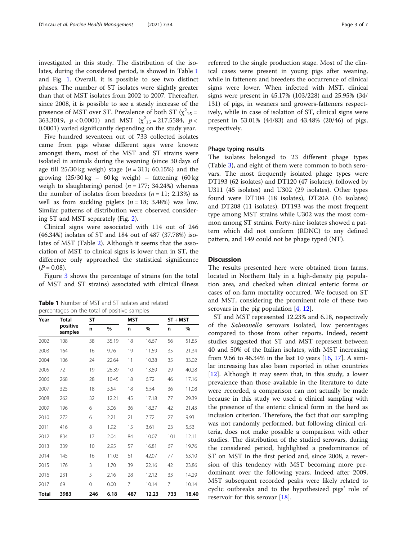investigated in this study. The distribution of the isolates, during the considered period, is showed in Table 1 and Fig. [1](#page-3-0). Overall, it is possible to see two distinct phases. The number of ST isolates were slightly greater than that of MST isolates from 2002 to 2007. Thereafter, since 2008, it is possible to see a steady increase of the presence of MST over ST. Prevalence of both ST  $(\chi^2)_{15} =$ 363.3019,  $p < 0.0001$ ) and MST  $(\chi^2_{15} = 217.5584, p <$ 0.0001) varied significantly depending on the study year.

Five hundred seventeen out of 733 collected isolates came from pigs whose different ages were known: amongst them, most of the MST and ST strains were isolated in animals during the weaning (since 30 days of age till  $25/30$  kg weigh) stage ( $n = 311$ ; 60.15%) and the growing  $(25/30 \text{ kg} - 60 \text{ kg}$  weigh) – fattening  $(60 \text{ kg}$ weigh to slaughtering) period ( $n = 177$ ; 34.24%) whereas the number of isolates from breeders  $(n = 11; 2.13%)$  as well as from suckling piglets  $(n = 18; 3.48%)$  was low. Similar patterns of distribution were observed considering ST and MST separately (Fig. [2](#page-3-0)).

Clinical signs were associated with 114 out of 246 (46.34%) isolates of ST and 184 out of 487 (37.78%) isolates of MST (Table [2\)](#page-4-0). Although it seems that the association of MST to clinical signs is lower than in ST, the difference only approached the statistical significance  $(P = 0.08)$ .

Figure [3](#page-4-0) shows the percentage of strains (on the total of MST and ST strains) associated with clinical illness

Table 1 Number of MST and ST isolates and related percentages on the total of positive samples

| Year  | <b>Total</b><br>positive<br>samples | <b>ST</b> |       | <b>MST</b> |       | $ST + MST$ |       |
|-------|-------------------------------------|-----------|-------|------------|-------|------------|-------|
|       |                                     | n         | $\%$  | n          | $\%$  | n          | $\%$  |
| 2002  | 108                                 | 38        | 35.19 | 18         | 16.67 | 56         | 51.85 |
| 2003  | 164                                 | 16        | 9.76  | 19         | 11.59 | 35         | 21.34 |
| 2004  | 106                                 | 24        | 22.64 | 11         | 10.38 | 35         | 33.02 |
| 2005  | 72                                  | 19        | 26.39 | 10         | 13.89 | 29         | 40.28 |
| 2006  | 268                                 | 28        | 10.45 | 18         | 6.72  | 46         | 17.16 |
| 2007  | 325                                 | 18        | 5.54  | 18         | 5.54  | 36         | 11.08 |
| 2008  | 262                                 | 32        | 12.21 | 45         | 17.18 | 77         | 29.39 |
| 2009  | 196                                 | 6         | 3.06  | 36         | 18.37 | 42         | 21.43 |
| 2010  | 272                                 | 6         | 2.21  | 21         | 7.72  | 27         | 9.93  |
| 2011  | 416                                 | 8         | 1.92  | 15         | 3.61  | 23         | 5.53  |
| 2012  | 834                                 | 17        | 2.04  | 84         | 10.07 | 101        | 12.11 |
| 2013  | 339                                 | 10        | 2.95  | 57         | 16.81 | 67         | 19.76 |
| 2014  | 145                                 | 16        | 11.03 | 61         | 42.07 | 77         | 53.10 |
| 2015  | 176                                 | 3         | 1.70  | 39         | 22.16 | 42         | 23.86 |
| 2016  | 231                                 | 5         | 2.16  | 28         | 12.12 | 33         | 14.29 |
| 2017  | 69                                  | 0         | 0.00  | 7          | 10.14 | 7          | 10.14 |
| Total | 3983                                | 246       | 6.18  | 487        | 12.23 | 733        | 18.40 |

referred to the single production stage. Most of the clinical cases were present in young pigs after weaning, while in fatteners and breeders the occurrence of clinical signs were lower. When infected with MST, clinical signs were present in 45.17% (103/228) and 25.95% (34/ 131) of pigs, in weaners and growers-fatteners respectively, while in case of isolation of ST, clinical signs were present in 53.01% (44/83) and 43.48% (20/46) of pigs, respectively.

#### Phage typing results

The isolates belonged to 23 different phage types (Table [3\)](#page-5-0), and eight of them were common to both serovars. The most frequently isolated phage types were DT193 (62 isolates) and DT120 (47 isolates), followed by U311 (45 isolates) and U302 (29 isolates). Other types found were DT104 (18 isolates), DT20A (16 isolates) and DT208 (11 isolates). DT193 was the most frequent type among MST strains while U302 was the most common among ST strains. Forty-nine isolates showed a pattern which did not conform (RDNC) to any defined pattern, and 149 could not be phage typed (NT).

#### **Discussion**

The results presented here were obtained from farms, located in Northern Italy in a high-density pig population area, and checked when clinical enteric forms or cases of on-farm mortality occurred. We focused on ST and MST, considering the prominent role of these two serovars in the pig population [\[4](#page-6-0), [12](#page-6-0)].

ST and MST represented 12.23% and 6.18, respectively of the Salmonella serovars isolated, low percentages compared to those from other reports. Indeed, recent studies suggested that ST and MST represent between 40 and 50% of the Italian isolates, with MST increasing from 9.66 to 46.34% in the last 10 years [[16](#page-6-0), [17](#page-6-0)]. A similar increasing has also been reported in other countries  $[12]$  $[12]$ . Although it may seem that, in this study, a lower prevalence than those available in the literature to date were recorded, a comparison can not actually be made because in this study we used a clinical sampling with the presence of the enteric clinical form in the herd as inclusion criterion. Therefore, the fact that our sampling was not randomly performed, but following clinical criteria, does not make possible a comparison with other studies. The distribution of the studied serovars, during the considered period, highlighted a predominance of ST on MST in the first period and, since 2008, a reversion of this tendency with MST becoming more predominant over the following years. Indeed after 2009, MST subsequent recorded peaks were likely related to cyclic outbreaks and to the hypothesized pigs' role of reservoir for this serovar [\[18](#page-6-0)].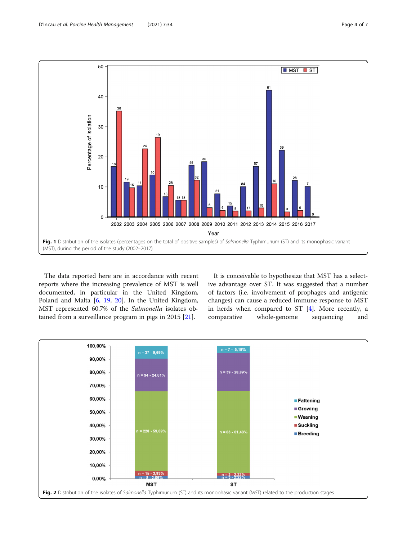50



<span id="page-3-0"></span>

The data reported here are in accordance with recent reports where the increasing prevalence of MST is well documented, in particular in the United Kingdom, Poland and Malta [\[6](#page-6-0), [19,](#page-6-0) [20\]](#page-6-0). In the United Kingdom, MST represented 60.7% of the Salmonella isolates obtained from a surveillance program in pigs in 2015 [\[21](#page-6-0)].

It is conceivable to hypothesize that MST has a selective advantage over ST. It was suggested that a number of factors (i.e. involvement of prophages and antigenic changes) can cause a reduced immune response to MST in herds when compared to ST [[4\]](#page-6-0). More recently, a comparative whole-genome sequencing and

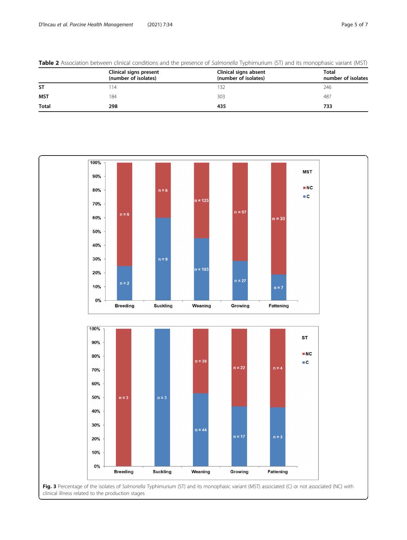|              | Clinical signs present<br>(number of isolates) | Clinical signs absent<br>(number of isolates) | Total<br>number of isolates |
|--------------|------------------------------------------------|-----------------------------------------------|-----------------------------|
| <b>ST</b>    | -14                                            | 132                                           | 246                         |
| <b>MST</b>   | 184                                            | 303                                           | 487                         |
| <b>Total</b> | 298                                            | 435                                           | 733                         |

<span id="page-4-0"></span>Table 2 Association between clinical conditions and the presence of Salmonella Typhimurium (ST) and its monophasic variant (MST)

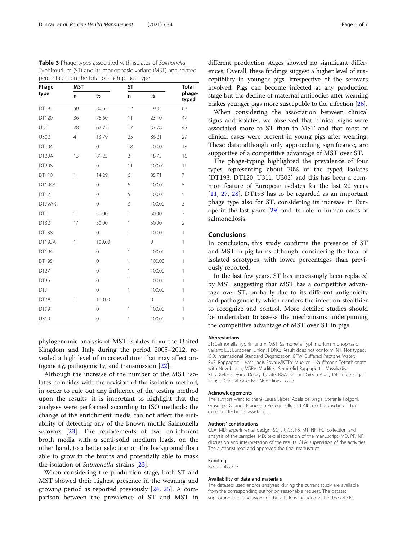phylogenomic analysis of MST isolates from the United Kingdom and Italy during the period 2005–2012, revealed a high level of microevolution that may affect antigenicity, pathogenicity, and transmission [[22\]](#page-6-0).

DT99 0 1 100.00 1 U310 0 1 100.00 1

Although the increase of the number of the MST isolates coincides with the revision of the isolation method, in order to rule out any influence of the testing method upon the results, it is important to highlight that the analyses were performed according to ISO methods: the change of the enrichment media can not affect the suitability of detecting any of the known motile Salmonella serovars [\[23\]](#page-6-0). The replacements of two enrichment broth media with a semi-solid medium leads, on the other hand, to a better selection on the background flora able to grow in the broths and potentially able to mask the isolation of Salmonella strains [\[23](#page-6-0)].

When considering the production stage, both ST and MST showed their highest presence in the weaning and growing period as reported previously [\[24](#page-6-0), [25](#page-6-0)]. A comparison between the prevalence of ST and MST in

different production stages showed no significant differences. Overall, these findings suggest a higher level of susceptibility in younger pigs, irrespective of the serovars involved. Pigs can become infected at any production stage but the decline of maternal antibodies after weaning makes younger pigs more susceptible to the infection [\[26\]](#page-6-0).

When considering the association between clinical signs and isolates, we observed that clinical signs were associated more to ST than to MST and that most of clinical cases were present in young pigs after weaning. These data, although only approaching significance, are supportive of a competitive advantage of MST over ST.

The phage-typing highlighted the prevalence of four types representing about 70% of the typed isolates (DT193, DT120, U311, U302) and this has been a common feature of European isolates for the last 20 years [[11,](#page-6-0) [27](#page-6-0), [28](#page-6-0)]. DT193 has to be regarded as an important phage type also for ST, considering its increase in Europe in the last years [\[29](#page-6-0)] and its role in human cases of salmonellosis.

## Conclusions

In conclusion, this study confirms the presence of ST and MST in pig farms although, considering the total of isolated serotypes, with lower percentages than previously reported.

In the last few years, ST has increasingly been replaced by MST suggesting that MST has a competitive advantage over ST, probably due to its different antigenicity and pathogeneicity which renders the infection stealthier to recognize and control. More detailed studies should be undertaken to assess the mechanisms underpinning the competitive advantage of MST over ST in pigs.

#### Abbreviations

ST: Salmonella Typhimurium; MST: Salmonella Typhimurium monophasic variant; EU: European Union; RDNC: Result does not conform; NT: Not typed; ISO: International Standard Organization; BPW: Buffered Peptone Water; RVS: Rappaport – Vassiliadis Soya; MKTTn: Mueller – Kauffmann Tetrathionate with Novobiocin; MSRV: Modified Semisolid Rappaport – Vassiliadis; XLD: Xylose Lysine Deoxycholate; BGA: Brilliant Green Agar; TSI: Triple Sugar Iron; C: Clinical case; NC: Non-clinical case

#### Acknowledgements

The authors want to thank Laura Birbes, Adelaide Braga, Stefania Folgoni, Giuseppe Orlandi, Francesca Pellegrinelli, and Alberto Tiraboschi for their excellent technical assistance.

#### Authors' contributions

GLA, MD: experimental design. SG, JR, CS, FS, MT, NF, FG: collection and analysis of the samples. MD: text elaboration of the manuscript. MD, PP, NF: discussion and interpretation of the results. GLA: supervision of the activities. The author(s) read and approved the final manuscript.

#### Funding

Not applicable.

#### Availability of data and materials

The datasets used and/or analysed during the current study are available from the corresponding author on reasonable request. The dataset supporting the conclusions of this article is included within the article.

<span id="page-5-0"></span>Table 3 Phage-types associated with isolates of Salmonella Typhimurium (ST) and its monophasic variant (MST) and related percentages on the total of each phage-type

| Phage              | <b>MST</b>     |                | <b>ST</b> | <b>Total</b>   |                 |
|--------------------|----------------|----------------|-----------|----------------|-----------------|
| type               | n              | $\%$           | n         | %              | phage-<br>typed |
| DT193              | 50             | 80.65          | 12        | 19.35          | 62              |
| DT120              | 36             | 76.60          | 11        | 23.40          | 47              |
| U311               | 28             | 62.22          | 17        | 37.78          | 45              |
| U302               | $\overline{4}$ | 13.79          | 25        | 86.21          | 29              |
| DT104              |                | $\mathbf 0$    | 18        | 100.00         | 18              |
| DT <sub>20</sub> A | 13             | 81.25          | 3         | 18.75          | 16              |
| DT208              |                | $\mathbf 0$    | 11        | 100.00         | 11              |
| DT110              | 1              | 14.29          | 6         | 85.71          | 7               |
| DT104B             |                | $\mathbf 0$    | 5         | 100.00         | 5               |
| DT12               |                | $\mathbf 0$    | 5         | 100.00         | 5               |
| DT7VAR             |                | $\mathbf 0$    | 3         | 100.00         | 3               |
| DT1                | 1              | 50.00          | 1         | 50.00          | $\overline{2}$  |
| DT32               | 1/             | 50.00          | 1         | 50.00          | $\overline{2}$  |
| DT138              |                | $\overline{0}$ | 1         | 100.00         | $\mathbf{1}$    |
| DT193A             | 1              | 100.00         |           | $\overline{0}$ | $\mathbf{1}$    |
| DT194              |                | $\mathbf 0$    | 1         | 100.00         | 1               |
| DT195              |                | $\mathbf 0$    | 1         | 100.00         | $\mathbf{1}$    |
| DT <sub>27</sub>   |                | $\mathbf 0$    | 1         | 100.00         | 1               |
| DT36               |                | $\mathbf 0$    | 1         | 100.00         | $\mathbf{1}$    |
| DT7                |                | $\overline{0}$ | 1         | 100.00         | $\mathbf{1}$    |
| DT7A               | 1              | 100.00         |           | $\mathbf 0$    | 1               |
|                    |                |                |           |                |                 |